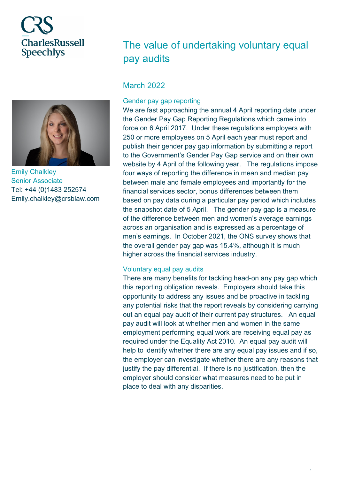# **CharlesRussell Speechlys**



Emily Chalkley Senior Associate Tel: +44 (0)1483 252574 Emily.chalkley@crsblaw.com

## The value of undertaking voluntary equal pay audits

### **March 2022**

#### Gender pay gap reporting

We are fast approaching the annual 4 April reporting date under the Gender Pay Gap Reporting Regulations which came into force on 6 April 2017. Under these regulations employers with 250 or more employees on 5 April each year must report and publish their gender pay gap information by submitting a report to the Government's Gender Pay Gap service and on their own website by 4 April of the following year. The regulations impose four ways of reporting the difference in mean and median pay between male and female employees and importantly for the financial services sector, bonus differences between them based on pay data during a particular pay period which includes the snapshot date of 5 April. The gender pay gap is a measure of the difference between men and women's average earnings across an organisation and is expressed as a percentage of men's earnings. In October 2021, the ONS survey shows that the overall gender pay gap was 15.4%, although it is much higher across the financial services industry.

#### Voluntary equal pay audits

There are many benefits for tackling head-on any pay gap which this reporting obligation reveals. Employers should take this opportunity to address any issues and be proactive in tackling any potential risks that the report reveals by considering carrying out an equal pay audit of their current pay structures. An equal pay audit will look at whether men and women in the same employment performing equal work are receiving equal pay as required under the Equality Act 2010. An equal pay audit will help to identify whether there are any equal pay issues and if so, the employer can investigate whether there are any reasons that justify the pay differential. If there is no justification, then the employer should consider what measures need to be put in place to deal with any disparities.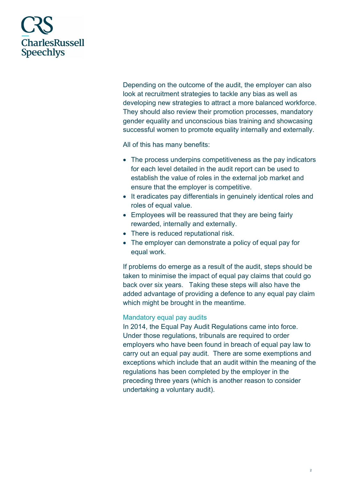

Depending on the outcome of the audit, the employer can also look at recruitment strategies to tackle any bias as well as developing new strategies to attract a more balanced workforce. They should also review their promotion processes, mandatory gender equality and unconscious bias training and showcasing successful women to promote equality internally and externally.

All of this has many benefits:

- The process underpins competitiveness as the pay indicators for each level detailed in the audit report can be used to establish the value of roles in the external job market and ensure that the employer is competitive.
- It eradicates pay differentials in genuinely identical roles and roles of equal value.
- Employees will be reassured that they are being fairly rewarded, internally and externally.
- There is reduced reputational risk.
- The employer can demonstrate a policy of equal pay for equal work.

If problems do emerge as a result of the audit, steps should be taken to minimise the impact of equal pay claims that could go back over six years. Taking these steps will also have the added advantage of providing a defence to any equal pay claim which might be brought in the meantime.

#### Mandatory equal pay audits

In 2014, the Equal Pay Audit Regulations came into force. Under those regulations, tribunals are required to order employers who have been found in breach of equal pay law to carry out an equal pay audit. There are some exemptions and exceptions which include that an audit within the meaning of the regulations has been completed by the employer in the preceding three years (which is another reason to consider undertaking a voluntary audit).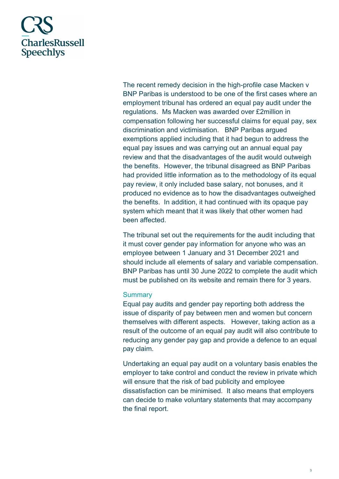

The recent remedy decision in the high-profile case Macken v BNP Paribas is understood to be one of the first cases where an employment tribunal has ordered an equal pay audit under the regulations. Ms Macken was awarded over £2million in compensation following her successful claims for equal pay, sex discrimination and victimisation. BNP Paribas argued exemptions applied including that it had begun to address the equal pay issues and was carrying out an annual equal pay review and that the disadvantages of the audit would outweigh the benefits. However, the tribunal disagreed as BNP Paribas had provided little information as to the methodology of its equal pay review, it only included base salary, not bonuses, and it produced no evidence as to how the disadvantages outweighed the benefits. In addition, it had continued with its opaque pay system which meant that it was likely that other women had been affected.

The tribunal set out the requirements for the audit including that it must cover gender pay information for anyone who was an employee between 1 January and 31 December 2021 and should include all elements of salary and variable compensation. BNP Paribas has until 30 June 2022 to complete the audit which must be published on its website and remain there for 3 years.

#### **Summary**

Equal pay audits and gender pay reporting both address the issue of disparity of pay between men and women but concern themselves with different aspects. However, taking action as a result of the outcome of an equal pay audit will also contribute to reducing any gender pay gap and provide a defence to an equal pay claim.

Undertaking an equal pay audit on a voluntary basis enables the employer to take control and conduct the review in private which will ensure that the risk of bad publicity and employee dissatisfaction can be minimised. It also means that employers can decide to make voluntary statements that may accompany the final report.